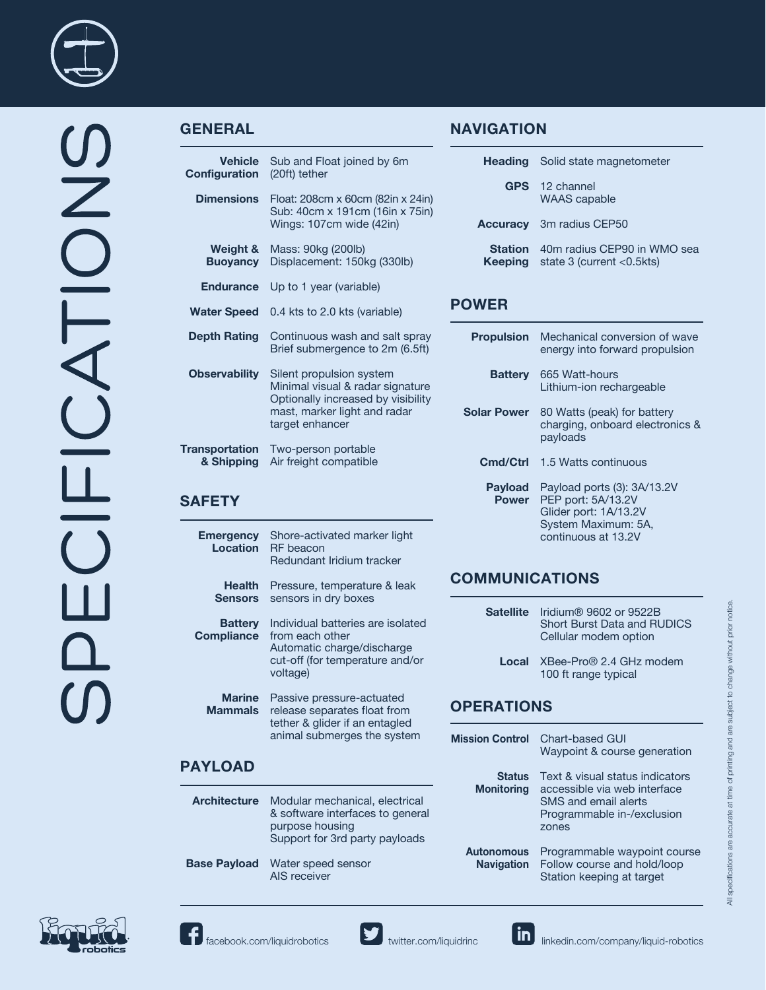

## **GENERAL**

**Emergency Location**

| <b>Vehicle</b><br>Configuration     | Sub and Float joined by 6m<br>(20ft) tether                                                                                                           |
|-------------------------------------|-------------------------------------------------------------------------------------------------------------------------------------------------------|
| <b>Dimensions</b>                   | Float: 208cm x 60cm (82in x 24in)<br>Sub: 40cm x 191cm (16in x 75in)<br>Wings: 107cm wide (42in)                                                      |
| Weight &<br><b>Buoyancy</b>         | Mass: 90kg (200lb)<br>Displacement: 150kg (330lb)                                                                                                     |
| <b>Endurance</b>                    | Up to 1 year (variable)                                                                                                                               |
| <b>Water Speed</b>                  | 0.4 kts to 2.0 kts (variable)                                                                                                                         |
| <b>Depth Rating</b>                 | Continuous wash and salt spray<br>Brief submergence to 2m (6.5ft)                                                                                     |
| <b>Observability</b>                | Silent propulsion system<br>Minimal visual & radar signature<br>Optionally increased by visibility<br>mast, marker light and radar<br>target enhancer |
| <b>Transportation</b><br>& Shipping | Two-person portable<br>Air freight compatible                                                                                                         |
| <b>SAFETY</b>                       |                                                                                                                                                       |

**Health**  Pressure, temperature & leak

RF beacon

Shore-activated marker light

Redundant Iridium tracker

# **NAVIGATION**

|                | <b>Heading</b> Solid state magnetometer                                       |  |
|----------------|-------------------------------------------------------------------------------|--|
|                | <b>GPS</b> 12 channel<br><b>WAAS</b> capable                                  |  |
|                | <b>Accuracy</b> 3m radius CEP50                                               |  |
| <b>Station</b> | 40m radius CEP90 in WMO sea<br><b>Keeping</b> state $3$ (current $< 0.5$ kts) |  |

### **POWER**

| <b>Propulsion</b>              | Mechanical conversion of wave<br>energy into forward propulsion                                                          |
|--------------------------------|--------------------------------------------------------------------------------------------------------------------------|
| <b>Battery</b>                 | 665 Watt-hours<br>Lithium-ion rechargeable                                                                               |
| <b>Solar Power</b>             | 80 Watts (peak) for battery<br>charging, onboard electronics &<br>payloads                                               |
| Cmd/Ctrl                       | 1.5 Watts continuous                                                                                                     |
| <b>Payload</b><br><b>Power</b> | Payload ports (3): 3A/13.2V<br>PEP port: 5A/13.2V<br>Glider port: 1A/13.2V<br>System Maximum: 5A,<br>continuous at 13.2V |

# **COMMUNICATIONS**

|                                     | <b>Sensors</b> sensors in dry boxes                                                                                     | <b>Satellite</b>       | Iridium® 9602 or 9522B                                      |
|-------------------------------------|-------------------------------------------------------------------------------------------------------------------------|------------------------|-------------------------------------------------------------|
| <b>Battery</b><br><b>Compliance</b> | Individual batteries are isolated<br>from each other<br>Automatic charge/discharge                                      |                        | <b>Short Burst Data and RUDICS</b><br>Cellular modem option |
|                                     | cut-off (for temperature and/or<br>voltage)                                                                             | Local                  | XBee-Pro® 2.4 GHz modem<br>100 ft range typical             |
| <b>Marine</b><br><b>Mammals</b>     | Passive pressure-actuated<br>release separates float from<br>tether & glider if an entagled                             | <b>OPERATIONS</b>      |                                                             |
| animal submerges the system         |                                                                                                                         | <b>Mission Control</b> | Chart-based GUI<br>Waypoint & course generation             |
| <b>PAYLOAD</b>                      |                                                                                                                         | <b>Status</b>          | Text & visual status indicators                             |
|                                     |                                                                                                                         | <b>Monitoring</b>      | accessible via web interface                                |
| <b>Architecture</b>                 | Modular mechanical, electrical<br>& software interfaces to general<br>purpose housing<br>Support for 3rd party payloads |                        | SMS and email alerts<br>Programmable in-/exclusion<br>zones |
|                                     |                                                                                                                         | <b>Autonomous</b>      | Programmable waypoint course                                |
| <b>Base Payload</b>                 | Water speed sensor<br>AIS receiver                                                                                      | <b>Navigation</b>      | Follow course and hold/loop<br>Station keeping at target    |